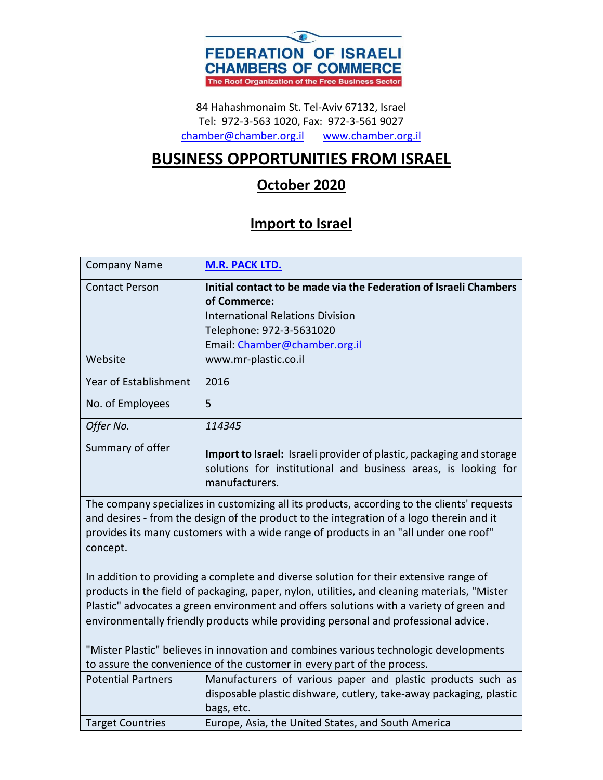

84 Hahashmonaim St. Tel-Aviv 67132, Israel Tel: 972-3-563 1020, Fax: 972-3-561 9027 [chamber@chamber.org.il](mailto:chamber@chamber.org.il) [www.chamber.org.il](http://www.chamber.org.il/)

## **BUSINESS OPPORTUNITIES FROM ISRAEL**

## **October 2020**

## **Import to Israel**

| <b>Company Name</b>                                                                                                                                                                                                                                                                                                                                                     | <b>M.R. PACK LTD.</b>                                                                                                                                    |
|-------------------------------------------------------------------------------------------------------------------------------------------------------------------------------------------------------------------------------------------------------------------------------------------------------------------------------------------------------------------------|----------------------------------------------------------------------------------------------------------------------------------------------------------|
| <b>Contact Person</b>                                                                                                                                                                                                                                                                                                                                                   | Initial contact to be made via the Federation of Israeli Chambers                                                                                        |
|                                                                                                                                                                                                                                                                                                                                                                         | of Commerce:                                                                                                                                             |
|                                                                                                                                                                                                                                                                                                                                                                         | <b>International Relations Division</b>                                                                                                                  |
|                                                                                                                                                                                                                                                                                                                                                                         | Telephone: 972-3-5631020                                                                                                                                 |
|                                                                                                                                                                                                                                                                                                                                                                         | Email: Chamber@chamber.org.il                                                                                                                            |
| Website                                                                                                                                                                                                                                                                                                                                                                 | www.mr-plastic.co.il                                                                                                                                     |
| Year of Establishment                                                                                                                                                                                                                                                                                                                                                   | 2016                                                                                                                                                     |
| No. of Employees                                                                                                                                                                                                                                                                                                                                                        | 5                                                                                                                                                        |
| Offer No.                                                                                                                                                                                                                                                                                                                                                               | 114345                                                                                                                                                   |
| Summary of offer                                                                                                                                                                                                                                                                                                                                                        | Import to Israel: Israeli provider of plastic, packaging and storage<br>solutions for institutional and business areas, is looking for<br>manufacturers. |
| The company specializes in customizing all its products, according to the clients' requests<br>and desires - from the design of the product to the integration of a logo therein and it<br>provides its many customers with a wide range of products in an "all under one roof"<br>concept.                                                                             |                                                                                                                                                          |
| In addition to providing a complete and diverse solution for their extensive range of<br>products in the field of packaging, paper, nylon, utilities, and cleaning materials, "Mister<br>Plastic" advocates a green environment and offers solutions with a variety of green and<br>environmentally friendly products while providing personal and professional advice. |                                                                                                                                                          |
| "Mister Plastic" believes in innovation and combines various technologic developments<br>to assure the convenience of the customer in every part of the process.                                                                                                                                                                                                        |                                                                                                                                                          |
| <b>Potential Partners</b>                                                                                                                                                                                                                                                                                                                                               | Manufacturers of various paper and plastic products such as<br>disposable plastic dishware, cutlery, take-away packaging, plastic<br>bags, etc.          |
| <b>Target Countries</b>                                                                                                                                                                                                                                                                                                                                                 | Europe, Asia, the United States, and South America                                                                                                       |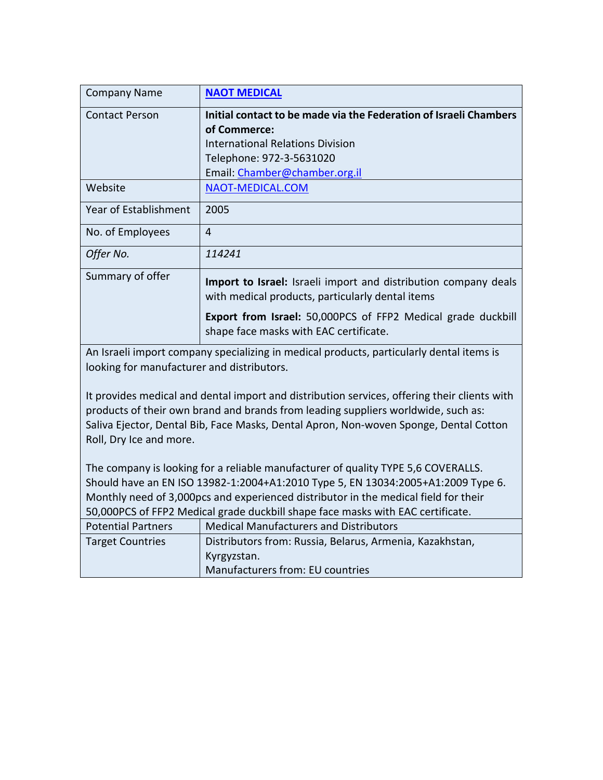| <b>Company Name</b>                                                                                                                                                                                                                                                                                   | <b>NAOT MEDICAL</b>                                                                                                 |
|-------------------------------------------------------------------------------------------------------------------------------------------------------------------------------------------------------------------------------------------------------------------------------------------------------|---------------------------------------------------------------------------------------------------------------------|
| <b>Contact Person</b>                                                                                                                                                                                                                                                                                 | Initial contact to be made via the Federation of Israeli Chambers                                                   |
|                                                                                                                                                                                                                                                                                                       | of Commerce:                                                                                                        |
|                                                                                                                                                                                                                                                                                                       | International Relations Division                                                                                    |
|                                                                                                                                                                                                                                                                                                       | Telephone: 972-3-5631020                                                                                            |
|                                                                                                                                                                                                                                                                                                       | Email: Chamber@chamber.org.il                                                                                       |
| Website                                                                                                                                                                                                                                                                                               | NAOT-MEDICAL.COM                                                                                                    |
| Year of Establishment                                                                                                                                                                                                                                                                                 | 2005                                                                                                                |
| No. of Employees                                                                                                                                                                                                                                                                                      | 4                                                                                                                   |
| Offer No.                                                                                                                                                                                                                                                                                             | 114241                                                                                                              |
| Summary of offer                                                                                                                                                                                                                                                                                      | Import to Israel: Israeli import and distribution company deals<br>with medical products, particularly dental items |
|                                                                                                                                                                                                                                                                                                       | Export from Israel: 50,000PCS of FFP2 Medical grade duckbill<br>shape face masks with EAC certificate.              |
| An Israeli import company specializing in medical products, particularly dental items is<br>looking for manufacturer and distributors.                                                                                                                                                                |                                                                                                                     |
| It provides medical and dental import and distribution services, offering their clients with<br>products of their own brand and brands from leading suppliers worldwide, such as:<br>Saliva Ejector, Dental Bib, Face Masks, Dental Apron, Non-woven Sponge, Dental Cotton<br>Roll, Dry Ice and more. |                                                                                                                     |

The company is looking for a reliable manufacturer of quality TYPE 5,6 COVERALLS. Should have an EN ISO 13982-1:2004+A1:2010 Type 5, EN 13034:2005+A1:2009 Type 6. Monthly need of 3,000pcs and experienced distributor in the medical field for their 50,000PCS of FFP2 Medical grade duckbill shape face masks with EAC certificate. Potential Partners | Medical Manufacturers and Distributors Target Countries | Distributors from: Russia, Belarus, Armenia, Kazakhstan, Kyrgyzstan.

Manufacturers from: EU countries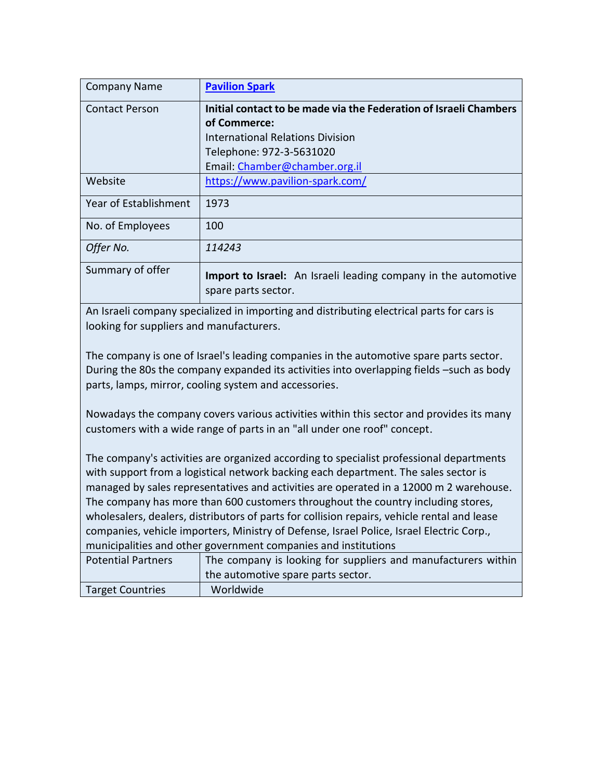| <b>Company Name</b>   | <b>Pavilion Spark</b>                                                                        |
|-----------------------|----------------------------------------------------------------------------------------------|
| <b>Contact Person</b> | Initial contact to be made via the Federation of Israeli Chambers                            |
|                       | of Commerce:                                                                                 |
|                       | <b>International Relations Division</b>                                                      |
|                       | Telephone: 972-3-5631020                                                                     |
|                       | Email: Chamber@chamber.org.il                                                                |
| Website               | https://www.pavilion-spark.com/                                                              |
| Year of Establishment | 1973                                                                                         |
| No. of Employees      | 100                                                                                          |
| Offer No.             | 114243                                                                                       |
| Summary of offer      | <b>Import to Israel:</b> An Israeli leading company in the automotive<br>spare parts sector. |

An Israeli company specialized in importing and distributing electrical parts for cars is looking for suppliers and manufacturers.

The company is one of Israel's leading companies in the automotive spare parts sector. During the 80s the company expanded its activities into overlapping fields –such as body parts, lamps, mirror, cooling system and accessories.

Nowadays the company covers various activities within this sector and provides its many customers with a wide range of parts in an "all under one roof" concept.

The company's activities are organized according to specialist professional departments with support from a logistical network backing each department. The sales sector is managed by sales representatives and activities are operated in a 12000 m 2 warehouse. The company has more than 600 customers throughout the country including stores, wholesalers, dealers, distributors of parts for collision repairs, vehicle rental and lease companies, vehicle importers, Ministry of Defense, Israel Police, Israel Electric Corp., municipalities and other government companies and institutions

| <b>Potential Partners</b> | The company is looking for suppliers and manufacturers within |
|---------------------------|---------------------------------------------------------------|
|                           | the automotive spare parts sector.                            |
| <b>Target Countries</b>   | Worldwide                                                     |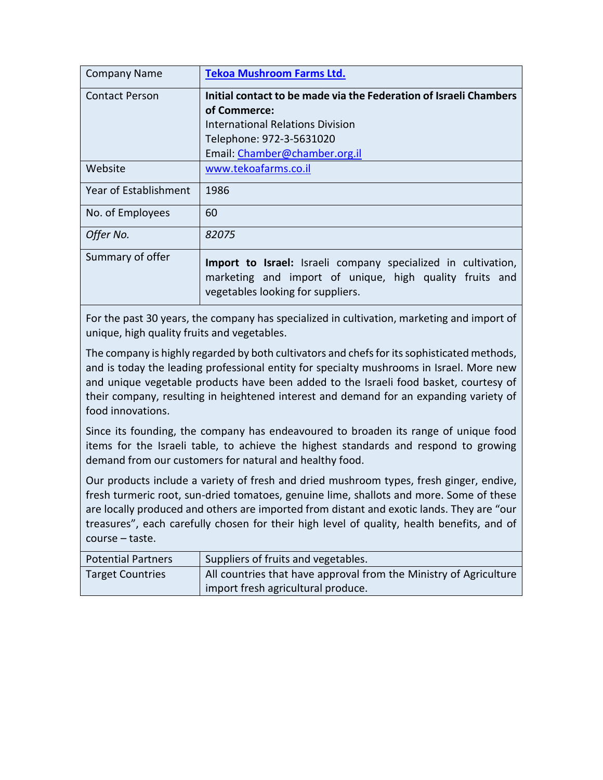| <b>Company Name</b>   | <b>Tekoa Mushroom Farms Ltd.</b>                                                                                                                              |
|-----------------------|---------------------------------------------------------------------------------------------------------------------------------------------------------------|
| <b>Contact Person</b> | Initial contact to be made via the Federation of Israeli Chambers                                                                                             |
|                       | of Commerce:                                                                                                                                                  |
|                       | <b>International Relations Division</b>                                                                                                                       |
|                       | Telephone: 972-3-5631020                                                                                                                                      |
|                       | Email: Chamber@chamber.org.il                                                                                                                                 |
| Website               | www.tekoafarms.co.il                                                                                                                                          |
| Year of Establishment | 1986                                                                                                                                                          |
| No. of Employees      | 60                                                                                                                                                            |
| Offer No.             | 82075                                                                                                                                                         |
| Summary of offer      | Import to Israel: Israeli company specialized in cultivation,<br>marketing and import of unique, high quality fruits and<br>vegetables looking for suppliers. |

For the past 30 years, the company has specialized in cultivation, marketing and import of unique, high quality fruits and vegetables.

The company is highly regarded by both cultivators and chefs for its sophisticated methods, and is today the leading professional entity for specialty mushrooms in Israel. More new and unique vegetable products have been added to the Israeli food basket, courtesy of their company, resulting in heightened interest and demand for an expanding variety of food innovations.

Since its founding, the company has endeavoured to broaden its range of unique food items for the Israeli table, to achieve the highest standards and respond to growing demand from our customers for natural and healthy food.

Our products include a variety of fresh and dried mushroom types, fresh ginger, endive, fresh turmeric root, sun-dried tomatoes, genuine lime, shallots and more. Some of these are locally produced and others are imported from distant and exotic lands. They are "our treasures", each carefully chosen for their high level of quality, health benefits, and of course – taste.

| <b>Potential Partners</b> | Suppliers of fruits and vegetables.                               |
|---------------------------|-------------------------------------------------------------------|
| <b>Target Countries</b>   | All countries that have approval from the Ministry of Agriculture |
|                           | import fresh agricultural produce.                                |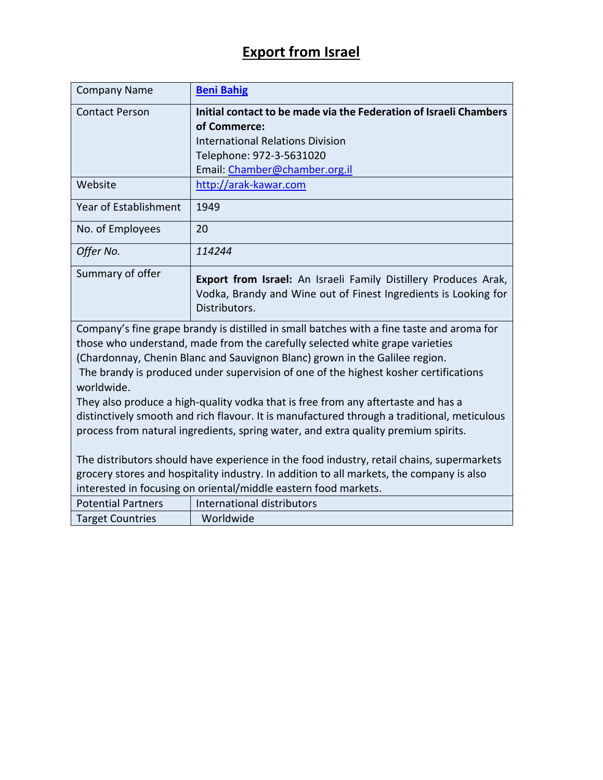## **Export from Israel**

| <b>Company Name</b>                                                                                                                                                                                                                                      | <b>Beni Bahig</b>                                                                                                                                   |
|----------------------------------------------------------------------------------------------------------------------------------------------------------------------------------------------------------------------------------------------------------|-----------------------------------------------------------------------------------------------------------------------------------------------------|
| <b>Contact Person</b>                                                                                                                                                                                                                                    | Initial contact to be made via the Federation of Israeli Chambers                                                                                   |
|                                                                                                                                                                                                                                                          | of Commerce:                                                                                                                                        |
|                                                                                                                                                                                                                                                          | <b>International Relations Division</b>                                                                                                             |
|                                                                                                                                                                                                                                                          | Telephone: 972-3-5631020                                                                                                                            |
|                                                                                                                                                                                                                                                          | Email: Chamber@chamber.org.il                                                                                                                       |
| Website                                                                                                                                                                                                                                                  | http://arak-kawar.com                                                                                                                               |
| Year of Establishment                                                                                                                                                                                                                                    | 1949                                                                                                                                                |
| No. of Employees                                                                                                                                                                                                                                         | 20                                                                                                                                                  |
| Offer No.                                                                                                                                                                                                                                                | 114244                                                                                                                                              |
| Summary of offer                                                                                                                                                                                                                                         | Export from Israel: An Israeli Family Distillery Produces Arak,<br>Vodka, Brandy and Wine out of Finest Ingredients is Looking for<br>Distributors. |
| Company's fine grape brandy is distilled in small batches with a fine taste and aroma for<br>those who understand, made from the carefully selected white grape varieties<br>(Chardonnay, Chenin Blanc and Sauvignon Blanc) grown in the Galilee region. |                                                                                                                                                     |
| worldwide.                                                                                                                                                                                                                                               | The brandy is produced under supervision of one of the highest kosher certifications                                                                |
| They also produce a high-quality vodka that is free from any aftertaste and has a                                                                                                                                                                        |                                                                                                                                                     |
|                                                                                                                                                                                                                                                          | distinctively smooth and rich flavour. It is manufactured through a traditional, meticulous                                                         |
| process from natural ingredients, spring water, and extra quality premium spirits.                                                                                                                                                                       |                                                                                                                                                     |
| The distributors should have experience in the food industry, retail chains, supermarkets                                                                                                                                                                |                                                                                                                                                     |
| grocery stores and hospitality industry. In addition to all markets, the company is also                                                                                                                                                                 |                                                                                                                                                     |
|                                                                                                                                                                                                                                                          | interested in focusing on oriental/middle eastern food markets.                                                                                     |
| <b>Potential Partners</b>                                                                                                                                                                                                                                | International distributors                                                                                                                          |
| <b>Target Countries</b>                                                                                                                                                                                                                                  | Worldwide                                                                                                                                           |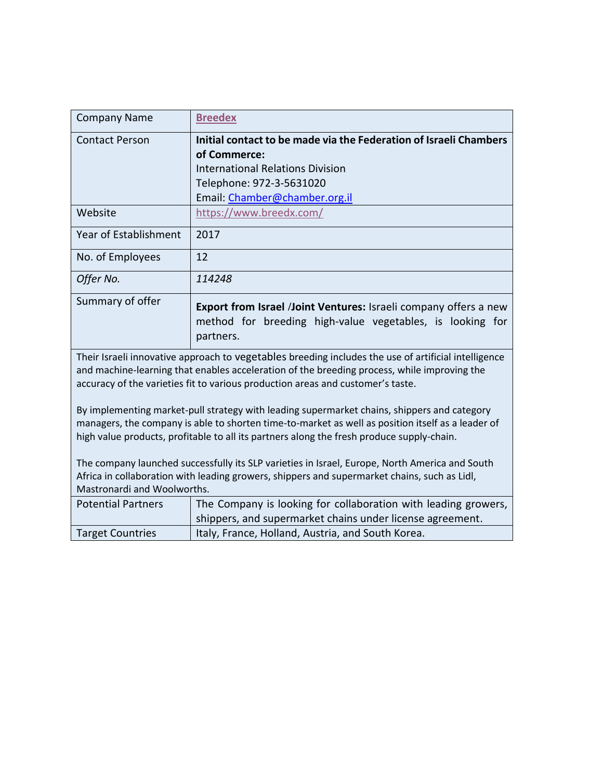| <b>Company Name</b>                                                                                                                                                                                                                                                                                                                                                                   | <b>Breedex</b>                                                                                                                             |
|---------------------------------------------------------------------------------------------------------------------------------------------------------------------------------------------------------------------------------------------------------------------------------------------------------------------------------------------------------------------------------------|--------------------------------------------------------------------------------------------------------------------------------------------|
| <b>Contact Person</b>                                                                                                                                                                                                                                                                                                                                                                 | Initial contact to be made via the Federation of Israeli Chambers                                                                          |
|                                                                                                                                                                                                                                                                                                                                                                                       | of Commerce:                                                                                                                               |
|                                                                                                                                                                                                                                                                                                                                                                                       | <b>International Relations Division</b>                                                                                                    |
|                                                                                                                                                                                                                                                                                                                                                                                       | Telephone: 972-3-5631020                                                                                                                   |
|                                                                                                                                                                                                                                                                                                                                                                                       | Email: Chamber@chamber.org.il                                                                                                              |
| Website                                                                                                                                                                                                                                                                                                                                                                               | https://www.breedx.com/                                                                                                                    |
| <b>Year of Establishment</b>                                                                                                                                                                                                                                                                                                                                                          | 2017                                                                                                                                       |
| No. of Employees                                                                                                                                                                                                                                                                                                                                                                      | 12                                                                                                                                         |
| Offer No.                                                                                                                                                                                                                                                                                                                                                                             | 114248                                                                                                                                     |
| Summary of offer                                                                                                                                                                                                                                                                                                                                                                      | Export from Israel /Joint Ventures: Israeli company offers a new<br>method for breeding high-value vegetables, is looking for<br>partners. |
| Their Israeli innovative approach to vegetables breeding includes the use of artificial intelligence<br>and machine-learning that enables acceleration of the breeding process, while improving the<br>accuracy of the varieties fit to various production areas and customer's taste.<br>By implementing market-pull strategy with leading supermarket chains, shippers and category |                                                                                                                                            |
| managers, the company is able to shorten time-to-market as well as position itself as a leader of<br>high value products, profitable to all its partners along the fresh produce supply-chain.                                                                                                                                                                                        |                                                                                                                                            |
| The company launched successfully its SLP varieties in Israel, Europe, North America and South                                                                                                                                                                                                                                                                                        |                                                                                                                                            |
| Africa in collaboration with leading growers, shippers and supermarket chains, such as Lidl,                                                                                                                                                                                                                                                                                          |                                                                                                                                            |
| Mastronardi and Woolworths.                                                                                                                                                                                                                                                                                                                                                           |                                                                                                                                            |
| <b>Potential Partners</b>                                                                                                                                                                                                                                                                                                                                                             | The Company is looking for collaboration with leading growers,                                                                             |
|                                                                                                                                                                                                                                                                                                                                                                                       | shippers, and supermarket chains under license agreement.                                                                                  |
| <b>Target Countries</b>                                                                                                                                                                                                                                                                                                                                                               | Italy, France, Holland, Austria, and South Korea.                                                                                          |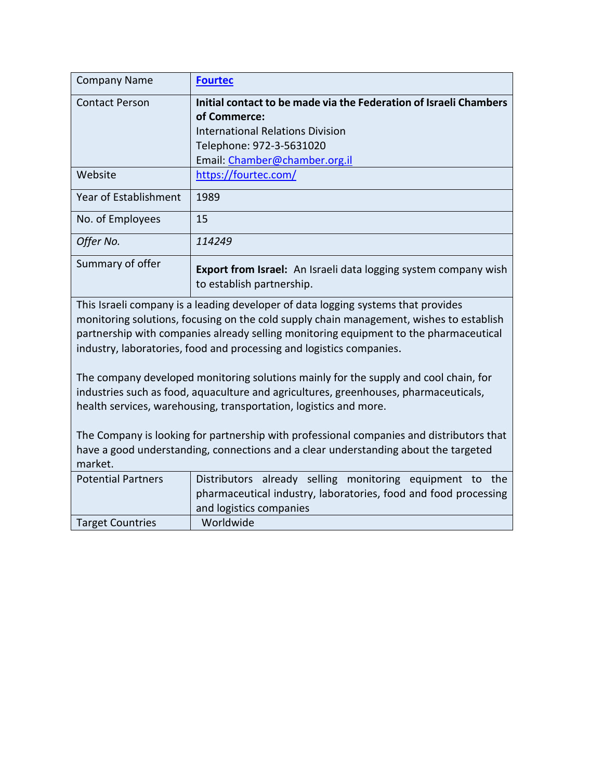| <b>Company Name</b>                                                                                                                                                                                                                                                                                                                           | <b>Fourtec</b>                                                                                      |  |
|-----------------------------------------------------------------------------------------------------------------------------------------------------------------------------------------------------------------------------------------------------------------------------------------------------------------------------------------------|-----------------------------------------------------------------------------------------------------|--|
| <b>Contact Person</b>                                                                                                                                                                                                                                                                                                                         | Initial contact to be made via the Federation of Israeli Chambers                                   |  |
|                                                                                                                                                                                                                                                                                                                                               | of Commerce:                                                                                        |  |
|                                                                                                                                                                                                                                                                                                                                               | <b>International Relations Division</b>                                                             |  |
|                                                                                                                                                                                                                                                                                                                                               | Telephone: 972-3-5631020                                                                            |  |
|                                                                                                                                                                                                                                                                                                                                               | Email: Chamber@chamber.org.il                                                                       |  |
| Website                                                                                                                                                                                                                                                                                                                                       | https://fourtec.com/                                                                                |  |
| Year of Establishment                                                                                                                                                                                                                                                                                                                         | 1989                                                                                                |  |
| No. of Employees                                                                                                                                                                                                                                                                                                                              | 15                                                                                                  |  |
| Offer No.                                                                                                                                                                                                                                                                                                                                     | 114249                                                                                              |  |
| Summary of offer                                                                                                                                                                                                                                                                                                                              | <b>Export from Israel:</b> An Israeli data logging system company wish<br>to establish partnership. |  |
| This Israeli company is a leading developer of data logging systems that provides<br>monitoring solutions, focusing on the cold supply chain management, wishes to establish<br>partnership with companies already selling monitoring equipment to the pharmaceutical<br>industry, laboratories, food and processing and logistics companies. |                                                                                                     |  |
| The company developed monitoring solutions mainly for the supply and cool chain, for<br>industries such as food, aquaculture and agricultures, greenhouses, pharmaceuticals,<br>health services, warehousing, transportation, logistics and more.                                                                                             |                                                                                                     |  |
| The Company is looking for partnership with professional companies and distributors that<br>have a good understanding, connections and a clear understanding about the targeted<br>market.                                                                                                                                                    |                                                                                                     |  |
| <b>Potential Partners</b>                                                                                                                                                                                                                                                                                                                     | Distributors already selling monitoring equipment to the                                            |  |
|                                                                                                                                                                                                                                                                                                                                               | pharmaceutical industry, laboratories, food and food processing<br>and logistics companies          |  |
| <b>Target Countries</b>                                                                                                                                                                                                                                                                                                                       | Worldwide                                                                                           |  |